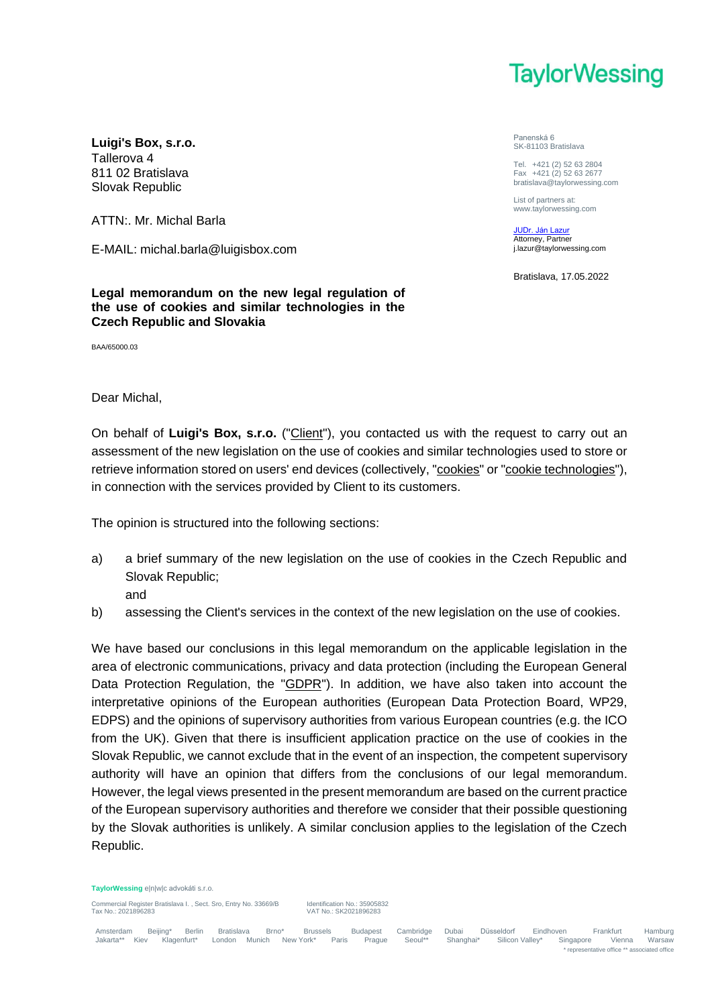

**Luigi's Box, s.r.o.** Tallerova 4 811 02 Bratislava Slovak Republic

ATTN:. Mr. Michal Barla

E-MAIL: michal.barla@luigisbox.com

**Legal memorandum on the new legal regulation of the use of cookies and similar technologies in the Czech Republic and Slovakia**

BAA/65000.03

## Dear Michal,

On behalf of **Luigi's Box, s.r.o.** ("Client"), you contacted us with the request to carry out an assessment of the new legislation on the use of cookies and similar technologies used to store or retrieve information stored on users' end devices (collectively, "cookies" or "cookie technologies"), in connection with the services provided by Client to its customers.

The opinion is structured into the following sections:

- a) a brief summary of the new legislation on the use of cookies in the Czech Republic and Slovak Republic;
	- and
- b) assessing the Client's services in the context of the new legislation on the use of cookies.

We have based our conclusions in this legal memorandum on the applicable legislation in the area of electronic communications, privacy and data protection (including the European General Data Protection Regulation, the "GDPR"). In addition, we have also taken into account the interpretative opinions of the European authorities (European Data Protection Board, WP29, EDPS) and the opinions of supervisory authorities from various European countries (e.g. the ICO from the UK). Given that there is insufficient application practice on the use of cookies in the Slovak Republic, we cannot exclude that in the event of an inspection, the competent supervisory authority will have an opinion that differs from the conclusions of our legal memorandum. However, the legal views presented in the present memorandum are based on the current practice of the European supervisory authorities and therefore we consider that their possible questioning by the Slovak authorities is unlikely. A similar conclusion applies to the legislation of the Czech Republic.

**TaylorWessing** e|n|w|c advokáti s.r.o.

Commercial Register Bratislava I., Sect. Sro, Entry No. 33669/B Identification No.: 35905832<br>Tax No : SK2021896283

Tax No.: 2021896283 VAT No.: SK2021896283

Panenská 6 SK-81103 Bratislava

Tel. +421 (2) 52 63 2804 Fax +421 (2) 52 63 2677 bratislava@taylorwessing.com

List of partners at: www.taylorwessing.com

JUDr. Ján Lazur Attorney, Partner j.lazur@taylorwessing.com

Bratislava, 17.05.2022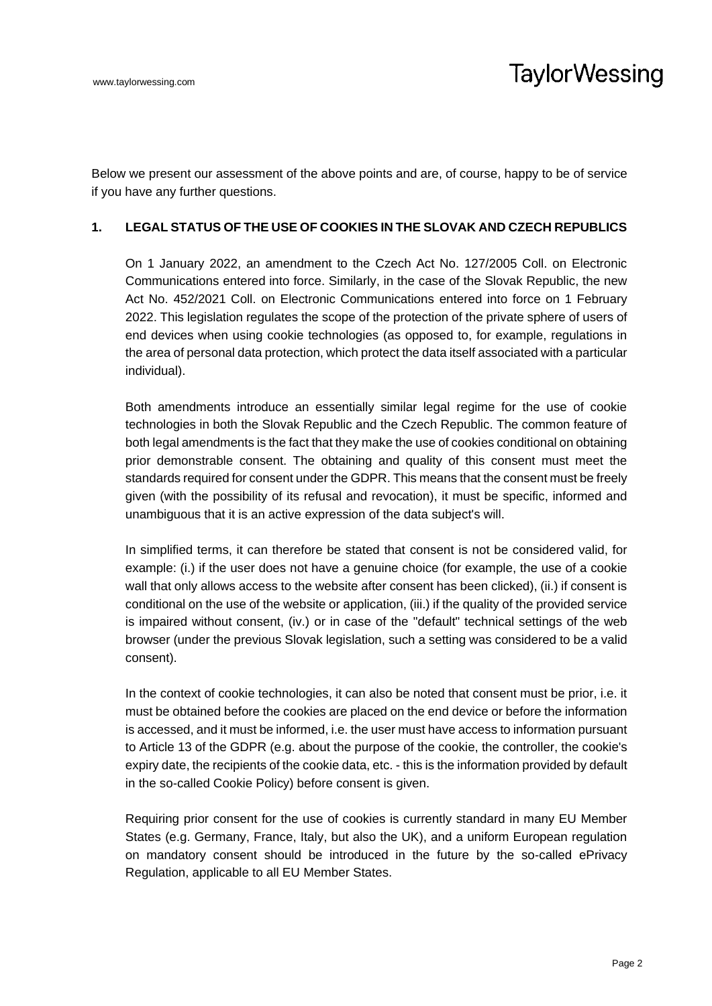Below we present our assessment of the above points and are, of course, happy to be of service if you have any further questions.

## **1. LEGAL STATUS OF THE USE OF COOKIES IN THE SLOVAK AND CZECH REPUBLICS**

On 1 January 2022, an amendment to the Czech Act No. 127/2005 Coll. on Electronic Communications entered into force. Similarly, in the case of the Slovak Republic, the new Act No. 452/2021 Coll. on Electronic Communications entered into force on 1 February 2022. This legislation regulates the scope of the protection of the private sphere of users of end devices when using cookie technologies (as opposed to, for example, regulations in the area of personal data protection, which protect the data itself associated with a particular individual).

Both amendments introduce an essentially similar legal regime for the use of cookie technologies in both the Slovak Republic and the Czech Republic. The common feature of both legal amendments is the fact that they make the use of cookies conditional on obtaining prior demonstrable consent. The obtaining and quality of this consent must meet the standards required for consent under the GDPR. This means that the consent must be freely given (with the possibility of its refusal and revocation), it must be specific, informed and unambiguous that it is an active expression of the data subject's will.

In simplified terms, it can therefore be stated that consent is not be considered valid, for example: (i.) if the user does not have a genuine choice (for example, the use of a cookie wall that only allows access to the website after consent has been clicked), (ii.) if consent is conditional on the use of the website or application, (iii.) if the quality of the provided service is impaired without consent, (iv.) or in case of the "default" technical settings of the web browser (under the previous Slovak legislation, such a setting was considered to be a valid consent).

In the context of cookie technologies, it can also be noted that consent must be prior, i.e. it must be obtained before the cookies are placed on the end device or before the information is accessed, and it must be informed, i.e. the user must have access to information pursuant to Article 13 of the GDPR (e.g. about the purpose of the cookie, the controller, the cookie's expiry date, the recipients of the cookie data, etc. - this is the information provided by default in the so-called Cookie Policy) before consent is given.

Requiring prior consent for the use of cookies is currently standard in many EU Member States (e.g. Germany, France, Italy, but also the UK), and a uniform European regulation on mandatory consent should be introduced in the future by the so-called ePrivacy Regulation, applicable to all EU Member States.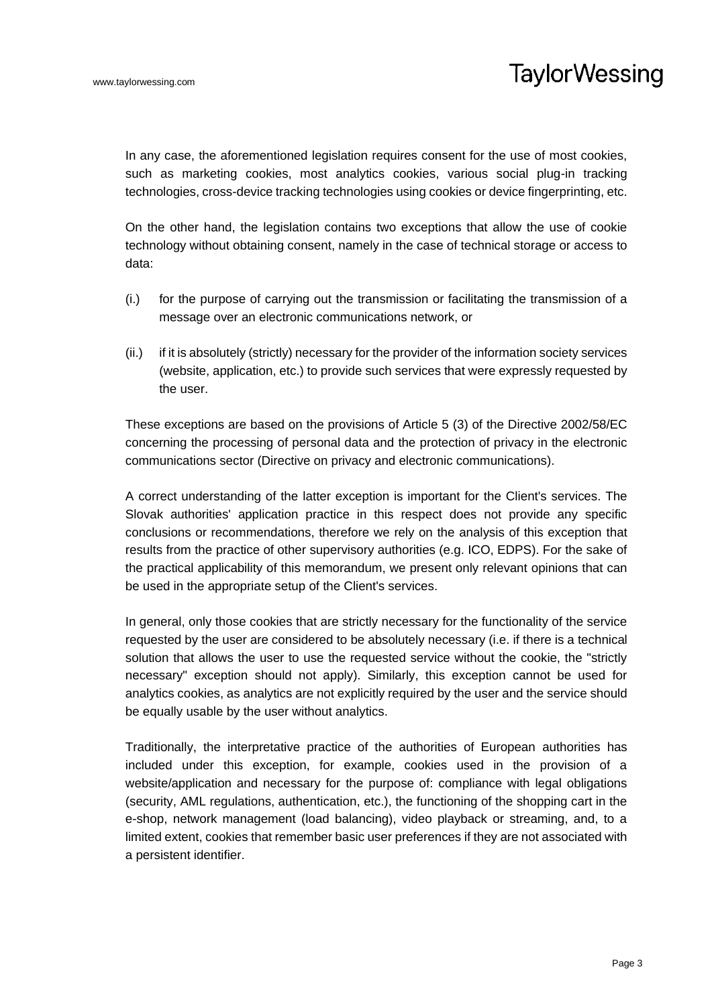In any case, the aforementioned legislation requires consent for the use of most cookies, such as marketing cookies, most analytics cookies, various social plug-in tracking technologies, cross-device tracking technologies using cookies or device fingerprinting, etc.

On the other hand, the legislation contains two exceptions that allow the use of cookie technology without obtaining consent, namely in the case of technical storage or access to data:

- (i.) for the purpose of carrying out the transmission or facilitating the transmission of a message over an electronic communications network, or
- (ii.) if it is absolutely (strictly) necessary for the provider of the information society services (website, application, etc.) to provide such services that were expressly requested by the user.

These exceptions are based on the provisions of Article 5 (3) of the Directive 2002/58/EC concerning the processing of personal data and the protection of privacy in the electronic communications sector (Directive on privacy and electronic communications).

A correct understanding of the latter exception is important for the Client's services. The Slovak authorities' application practice in this respect does not provide any specific conclusions or recommendations, therefore we rely on the analysis of this exception that results from the practice of other supervisory authorities (e.g. ICO, EDPS). For the sake of the practical applicability of this memorandum, we present only relevant opinions that can be used in the appropriate setup of the Client's services.

In general, only those cookies that are strictly necessary for the functionality of the service requested by the user are considered to be absolutely necessary (i.e. if there is a technical solution that allows the user to use the requested service without the cookie, the "strictly necessary" exception should not apply). Similarly, this exception cannot be used for analytics cookies, as analytics are not explicitly required by the user and the service should be equally usable by the user without analytics.

Traditionally, the interpretative practice of the authorities of European authorities has included under this exception, for example, cookies used in the provision of a website/application and necessary for the purpose of: compliance with legal obligations (security, AML regulations, authentication, etc.), the functioning of the shopping cart in the e-shop, network management (load balancing), video playback or streaming, and, to a limited extent, cookies that remember basic user preferences if they are not associated with a persistent identifier.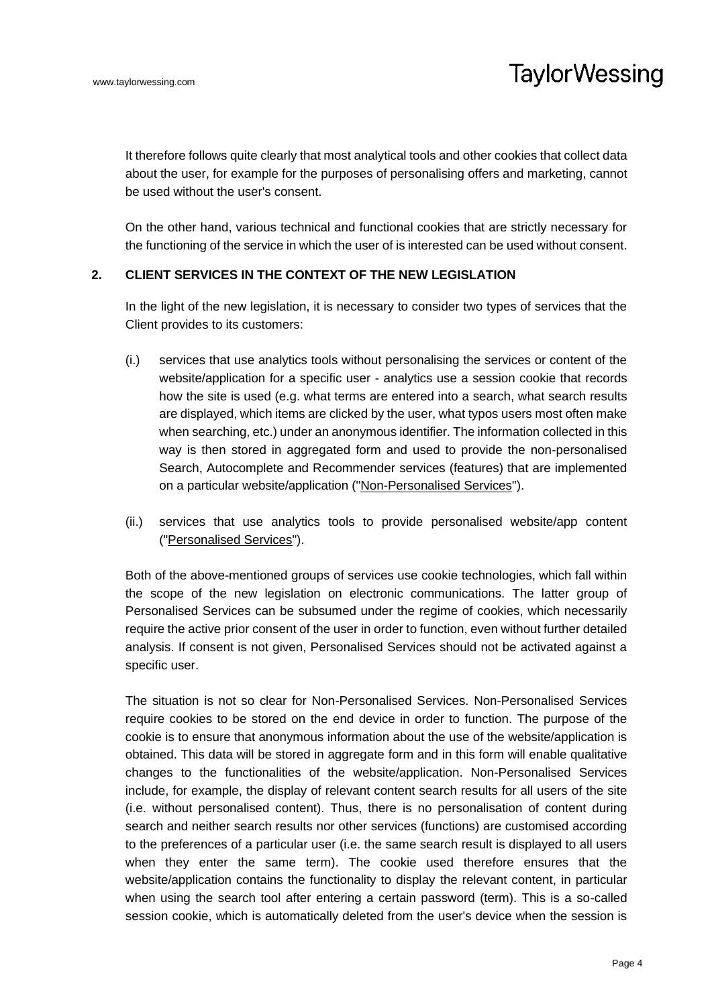It therefore follows quite clearly that most analytical tools and other cookies that collect data about the user, for example for the purposes of personalising offers and marketing, cannot be used without the user's consent.

On the other hand, various technical and functional cookies that are strictly necessary for the functioning of the service in which the user of is interested can be used without consent.

## **2. CLIENT SERVICES IN THE CONTEXT OF THE NEW LEGISLATION**

In the light of the new legislation, it is necessary to consider two types of services that the Client provides to its customers:

- (i.) services that use analytics tools without personalising the services or content of the website/application for a specific user - analytics use a session cookie that records how the site is used (e.g. what terms are entered into a search, what search results are displayed, which items are clicked by the user, what typos users most often make when searching, etc.) under an anonymous identifier. The information collected in this way is then stored in aggregated form and used to provide the non-personalised Search, Autocomplete and Recommender services (features) that are implemented on a particular website/application ("Non-Personalised Services").
- (ii.) services that use analytics tools to provide personalised website/app content ("Personalised Services").

Both of the above-mentioned groups of services use cookie technologies, which fall within the scope of the new legislation on electronic communications. The latter group of Personalised Services can be subsumed under the regime of cookies, which necessarily require the active prior consent of the user in order to function, even without further detailed analysis. If consent is not given, Personalised Services should not be activated against a specific user.

The situation is not so clear for Non-Personalised Services. Non-Personalised Services require cookies to be stored on the end device in order to function. The purpose of the cookie is to ensure that anonymous information about the use of the website/application is obtained. This data will be stored in aggregate form and in this form will enable qualitative changes to the functionalities of the website/application. Non-Personalised Services include, for example, the display of relevant content search results for all users of the site (i.e. without personalised content). Thus, there is no personalisation of content during search and neither search results nor other services (functions) are customised according to the preferences of a particular user (i.e. the same search result is displayed to all users when they enter the same term). The cookie used therefore ensures that the website/application contains the functionality to display the relevant content, in particular when using the search tool after entering a certain password (term). This is a so-called session cookie, which is automatically deleted from the user's device when the session is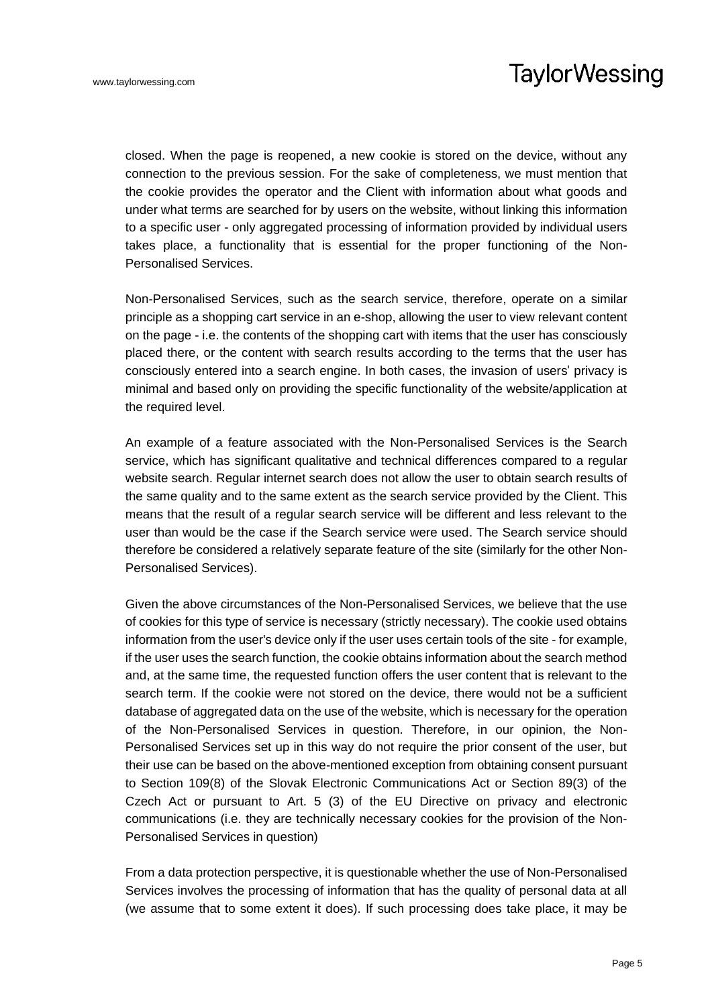closed. When the page is reopened, a new cookie is stored on the device, without any connection to the previous session. For the sake of completeness, we must mention that the cookie provides the operator and the Client with information about what goods and under what terms are searched for by users on the website, without linking this information to a specific user - only aggregated processing of information provided by individual users takes place, a functionality that is essential for the proper functioning of the Non-Personalised Services.

Non-Personalised Services, such as the search service, therefore, operate on a similar principle as a shopping cart service in an e-shop, allowing the user to view relevant content on the page - i.e. the contents of the shopping cart with items that the user has consciously placed there, or the content with search results according to the terms that the user has consciously entered into a search engine. In both cases, the invasion of users' privacy is minimal and based only on providing the specific functionality of the website/application at the required level.

An example of a feature associated with the Non-Personalised Services is the Search service, which has significant qualitative and technical differences compared to a regular website search. Regular internet search does not allow the user to obtain search results of the same quality and to the same extent as the search service provided by the Client. This means that the result of a regular search service will be different and less relevant to the user than would be the case if the Search service were used. The Search service should therefore be considered a relatively separate feature of the site (similarly for the other Non-Personalised Services).

Given the above circumstances of the Non-Personalised Services, we believe that the use of cookies for this type of service is necessary (strictly necessary). The cookie used obtains information from the user's device only if the user uses certain tools of the site - for example, if the user uses the search function, the cookie obtains information about the search method and, at the same time, the requested function offers the user content that is relevant to the search term. If the cookie were not stored on the device, there would not be a sufficient database of aggregated data on the use of the website, which is necessary for the operation of the Non-Personalised Services in question. Therefore, in our opinion, the Non-Personalised Services set up in this way do not require the prior consent of the user, but their use can be based on the above-mentioned exception from obtaining consent pursuant to Section 109(8) of the Slovak Electronic Communications Act or Section 89(3) of the Czech Act or pursuant to Art. 5 (3) of the EU Directive on privacy and electronic communications (i.e. they are technically necessary cookies for the provision of the Non-Personalised Services in question)

From a data protection perspective, it is questionable whether the use of Non-Personalised Services involves the processing of information that has the quality of personal data at all (we assume that to some extent it does). If such processing does take place, it may be